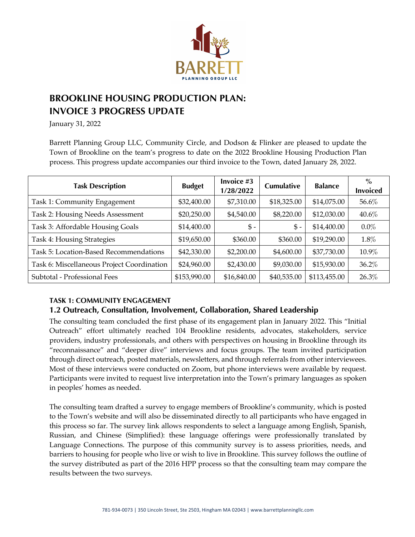

# **BROOKLINE HOUSING PRODUCTION PLAN: INVOICE 3 PROGRESS UPDATE**

January 31, 2022

Barrett Planning Group LLC, Community Circle, and Dodson & Flinker are pleased to update the Town of Brookline on the team's progress to date on the 2022 Brookline Housing Production Plan process. This progress update accompanies our third invoice to the Town, dated January 28, 2022.

| <b>Task Description</b>                    | <b>Budget</b> | Invoice #3<br>1/28/2022 | <b>Cumulative</b> | <b>Balance</b> | $\%$<br><b>Invoiced</b> |
|--------------------------------------------|---------------|-------------------------|-------------------|----------------|-------------------------|
| Task 1: Community Engagement               | \$32,400.00   | \$7,310.00              | \$18,325.00       | \$14,075.00    | 56.6%                   |
| Task 2: Housing Needs Assessment           | \$20,250.00   | \$4,540.00              | \$8,220.00        | \$12,030.00    | 40.6%                   |
| Task 3: Affordable Housing Goals           | \$14,400.00   | $$ -$                   | $$ -$             | \$14,400.00    | $0.0\%$                 |
| Task 4: Housing Strategies                 | \$19,650.00   | \$360.00                | \$360.00          | \$19,290.00    | 1.8%                    |
| Task 5: Location-Based Recommendations     | \$42,330.00   | \$2,200.00              | \$4,600.00        | \$37,730.00    | 10.9%                   |
| Task 6: Miscellaneous Project Coordination | \$24,960.00   | \$2,430.00              | \$9,030.00        | \$15,930.00    | 36.2%                   |
| Subtotal - Professional Fees               | \$153,990.00  | \$16,840.00             | \$40,535.00       | \$113,455.00   | 26.3%                   |

### **TASK 1: COMMUNITY ENGAGEMENT**

## **1.2 Outreach, Consultation, Involvement, Collaboration, Shared Leadership**

The consulting team concluded the first phase of its engagement plan in January 2022. This "Initial Outreach" effort ultimately reached 104 Brookline residents, advocates, stakeholders, service providers, industry professionals, and others with perspectives on housing in Brookline through its "reconnaissance" and "deeper dive" interviews and focus groups. The team invited participation through direct outreach, posted materials, newsletters, and through referrals from other interviewees. Most of these interviews were conducted on Zoom, but phone interviews were available by request. Participants were invited to request live interpretation into the Town's primary languages as spoken in peoples' homes as needed.

The consulting team drafted a survey to engage members of Brookline's community, which is posted to the Town's website and will also be disseminated directly to all participants who have engaged in this process so far. The survey link allows respondents to select a language among English, Spanish, Russian, and Chinese (Simplified): these language offerings were professionally translated by Language Connections. The purpose of this community survey is to assess priorities, needs, and barriers to housing for people who live or wish to live in Brookline. This survey follows the outline of the survey distributed as part of the 2016 HPP process so that the consulting team may compare the results between the two surveys.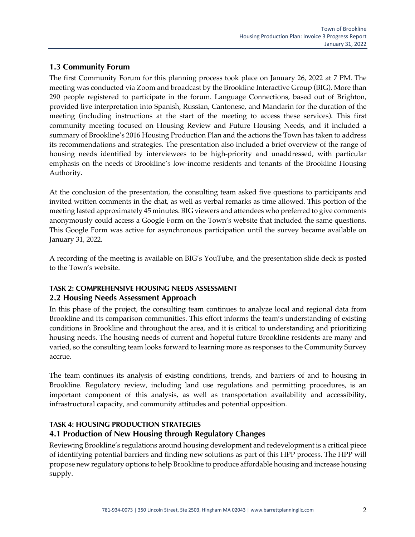## **1.3 Community Forum**

The first Community Forum for this planning process took place on January 26, 2022 at 7 PM. The meeting was conducted via Zoom and broadcast by the Brookline Interactive Group (BIG). More than 290 people registered to participate in the forum. Language Connections, based out of Brighton, provided live interpretation into Spanish, Russian, Cantonese, and Mandarin for the duration of the meeting (including instructions at the start of the meeting to access these services). This first community meeting focused on Housing Review and Future Housing Needs, and it included a summary of Brookline's 2016 Housing Production Plan and the actions the Town has taken to address its recommendations and strategies. The presentation also included a brief overview of the range of housing needs identified by interviewees to be high-priority and unaddressed, with particular emphasis on the needs of Brookline's low-income residents and tenants of the Brookline Housing Authority.

At the conclusion of the presentation, the consulting team asked five questions to participants and invited written comments in the chat, as well as verbal remarks as time allowed. This portion of the meeting lasted approximately 45 minutes. BIG viewers and attendees who preferred to give comments anonymously could access a Google Form on the Town's website that included the same questions. This Google Form was active for asynchronous participation until the survey became available on January 31, 2022.

A recording of the meeting is available on BIG's YouTube, and the presentation slide deck is posted to the Town's website.

#### **TASK 2: COMPREHENSIVE HOUSING NEEDS ASSESSMENT 2.2 Housing Needs Assessment Approach**

In this phase of the project, the consulting team continues to analyze local and regional data from Brookline and its comparison communities. This effort informs the team's understanding of existing conditions in Brookline and throughout the area, and it is critical to understanding and prioritizing housing needs. The housing needs of current and hopeful future Brookline residents are many and varied, so the consulting team looks forward to learning more as responses to the Community Survey accrue.

The team continues its analysis of existing conditions, trends, and barriers of and to housing in Brookline. Regulatory review, including land use regulations and permitting procedures, is an important component of this analysis, as well as transportation availability and accessibility, infrastructural capacity, and community attitudes and potential opposition.

### **TASK 4: HOUSING PRODUCTION STRATEGIES**

## **4.1 Production of New Housing through Regulatory Changes**

Reviewing Brookline's regulations around housing development and redevelopment is a critical piece of identifying potential barriers and finding new solutions as part of this HPP process. The HPP will propose new regulatory options to help Brookline to produce affordable housing and increase housing supply.